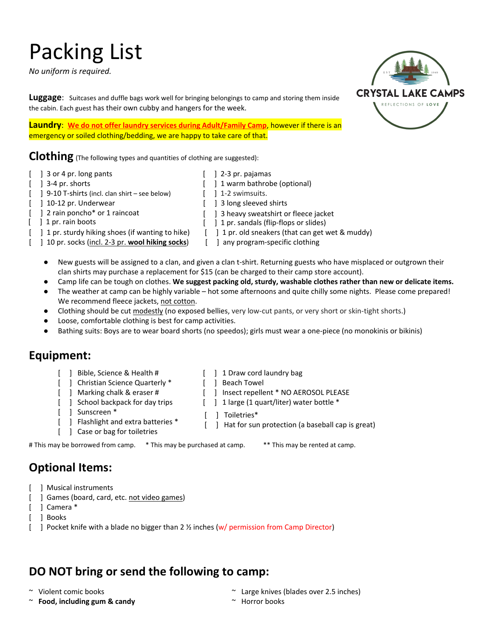## Packing List

*No uniform is required.* 



**Luggage**: Suitcases and duffle bags work well for bringing belongings to camp and storing them inside the cabin. Each guest has their own cubby and hangers for the week.

**Laundry**: **We do not offer laundry services during Adult/Family Camp**, however if there is an emergency or soiled clothing/bedding, we are happy to take care of that.

**Clothing** (The following types and quantities of clothing are suggested):

- [ ] 3 or 4 pr. long pants
- $\begin{bmatrix} 1 & 3-4 & \text{pr.} \end{bmatrix}$  shorts
- [ ] 9-10 T-shirts (incl. clan shirt see below)
- [ ] 10-12 pr. Underwear
- [ ] 2 rain poncho\* or 1 raincoat
- [ ] 1 pr. rain boots
- [ ] 1 pr. sandals (flip-flops or slides)
- [ ] 1 pr. sturdy hiking shoes (if wanting to hike) [ ] 1 pr. old sneakers (that can get wet & muddy)
- [ ] 10 pr. socks (incl. 2-3 pr. **wool hiking socks**) [ ] any program-specific clothing
- 
- - New guests will be assigned to a clan, and given a clan t-shirt. Returning guests who have misplaced or outgrown their clan shirts may purchase a replacement for \$15 (can be charged to their camp store account).
	- Camp life can be tough on clothes. We suggest packing old, sturdy, washable clothes rather than new or delicate items.
	- The weather at camp can be highly variable hot some afternoons and quite chilly some nights. Please come prepared! We recommend fleece jackets, not cotton.
	- Clothing should be cut modestly (no exposed bellies, very low-cut pants, or very short or skin-tight shorts.)
	- Loose, comfortable clothing is best for camp activities.
	- Bathing suits: Boys are to wear board shorts (no speedos); girls must wear a one-piece (no monokinis or bikinis)

## **Equipment:**

- 
- [ ] Christian Science Quarterly \* [ ] Beach Towel
- [ ] Marking chalk & eraser # [ ] Insect repellent \* NO AEROSOL PLEASE
- [ ] School backpack for day trips [ ] 1 large (1 quart/liter) water bottle \*
- [ ] Sunscreen \*
- [ ] Flashlight and extra batteries \*
- [ ] Case or bag for toiletries
- 
- 
- [ ] Hat for sun protection (a baseball cap is great)
- # This may be borrowed from camp. \* This may be purchased at camp. \*\* This may be rented at camp.
	-

## **Optional Items:**

- [ ] Musical instruments
- [ ] Games (board, card, etc. not video games)
- [ ] Camera \*
- [ ] Books
- [ ] Pocket knife with a blade no bigger than 2 % inches (w/ permission from Camp Director)

## **DO NOT bring or send the following to camp:**

- 
- ~ **Food, including gum & candy** ~ Horror books
- ~ Violent comic books ~ Large knives (blades over 2.5 inches)
	-
- $\lceil$   $\rceil$  2-3 pr. pajamas [ ] 1 warm bathrobe (optional)
- [ ] 1-2 swimsuits.
- [ ] 3 long sleeved shirts
- [ ] 3 heavy sweatshirt or fleece jacket
	-
	-
- 

- [ ] Bible, Science & Health # [ ] 1 Draw cord laundry bag
	-
	- [ ] Toiletries\*
		-